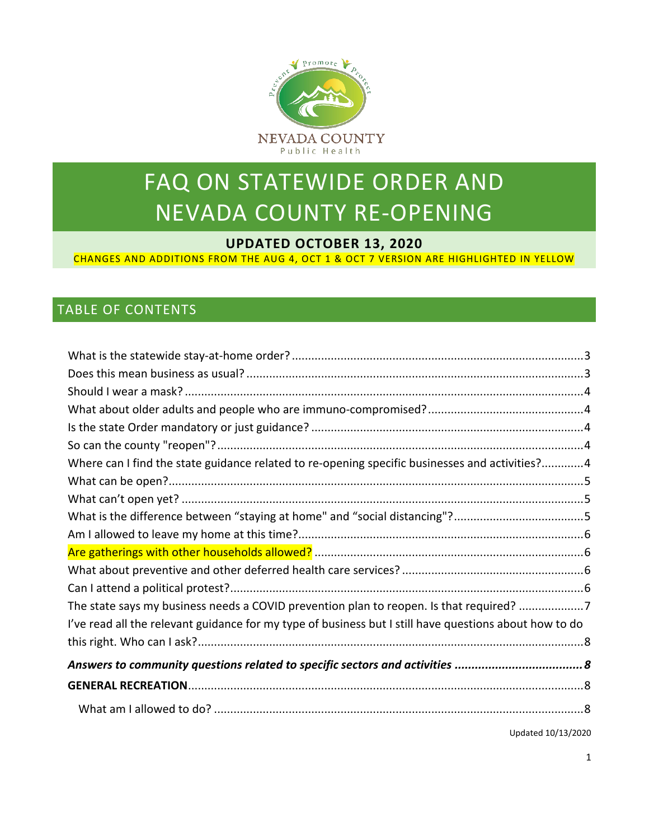

# FAQ ON STATEWIDE ORDER AND NEVADA COUNTY RE-OPENING

#### **UPDATED OCTOBER 13, 2020**

CHANGES AND ADDITIONS FROM THE AUG 4, OCT 1 & OCT 7 VERSION ARE HIGHLIGHTED IN YELLOW

#### TABLE OF CONTENTS

| Where can I find the state guidance related to re-opening specific businesses and activities?4<br>The state says my business needs a COVID prevention plan to reopen. Is that required? 7<br>I've read all the relevant guidance for my type of business but I still have questions about how to do |
|-----------------------------------------------------------------------------------------------------------------------------------------------------------------------------------------------------------------------------------------------------------------------------------------------------|
|                                                                                                                                                                                                                                                                                                     |
|                                                                                                                                                                                                                                                                                                     |
|                                                                                                                                                                                                                                                                                                     |
|                                                                                                                                                                                                                                                                                                     |
|                                                                                                                                                                                                                                                                                                     |
|                                                                                                                                                                                                                                                                                                     |
|                                                                                                                                                                                                                                                                                                     |
|                                                                                                                                                                                                                                                                                                     |
|                                                                                                                                                                                                                                                                                                     |
|                                                                                                                                                                                                                                                                                                     |
|                                                                                                                                                                                                                                                                                                     |
|                                                                                                                                                                                                                                                                                                     |
|                                                                                                                                                                                                                                                                                                     |
|                                                                                                                                                                                                                                                                                                     |
|                                                                                                                                                                                                                                                                                                     |
|                                                                                                                                                                                                                                                                                                     |
|                                                                                                                                                                                                                                                                                                     |
|                                                                                                                                                                                                                                                                                                     |
|                                                                                                                                                                                                                                                                                                     |
|                                                                                                                                                                                                                                                                                                     |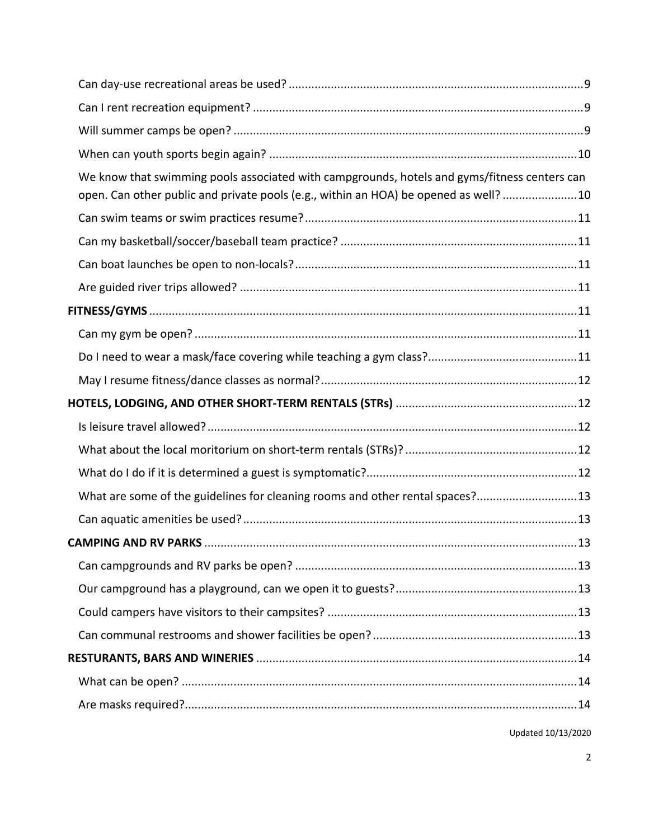| We know that swimming pools associated with campgrounds, hotels and gyms/fitness centers can<br>open. Can other public and private pools (e.g., within an HOA) be opened as well? 10 |  |
|--------------------------------------------------------------------------------------------------------------------------------------------------------------------------------------|--|
|                                                                                                                                                                                      |  |
|                                                                                                                                                                                      |  |
|                                                                                                                                                                                      |  |
|                                                                                                                                                                                      |  |
|                                                                                                                                                                                      |  |
|                                                                                                                                                                                      |  |
|                                                                                                                                                                                      |  |
|                                                                                                                                                                                      |  |
|                                                                                                                                                                                      |  |
|                                                                                                                                                                                      |  |
|                                                                                                                                                                                      |  |
|                                                                                                                                                                                      |  |
| What are some of the guidelines for cleaning rooms and other rental spaces?13                                                                                                        |  |
|                                                                                                                                                                                      |  |
|                                                                                                                                                                                      |  |
|                                                                                                                                                                                      |  |
|                                                                                                                                                                                      |  |
|                                                                                                                                                                                      |  |
|                                                                                                                                                                                      |  |
|                                                                                                                                                                                      |  |
|                                                                                                                                                                                      |  |
|                                                                                                                                                                                      |  |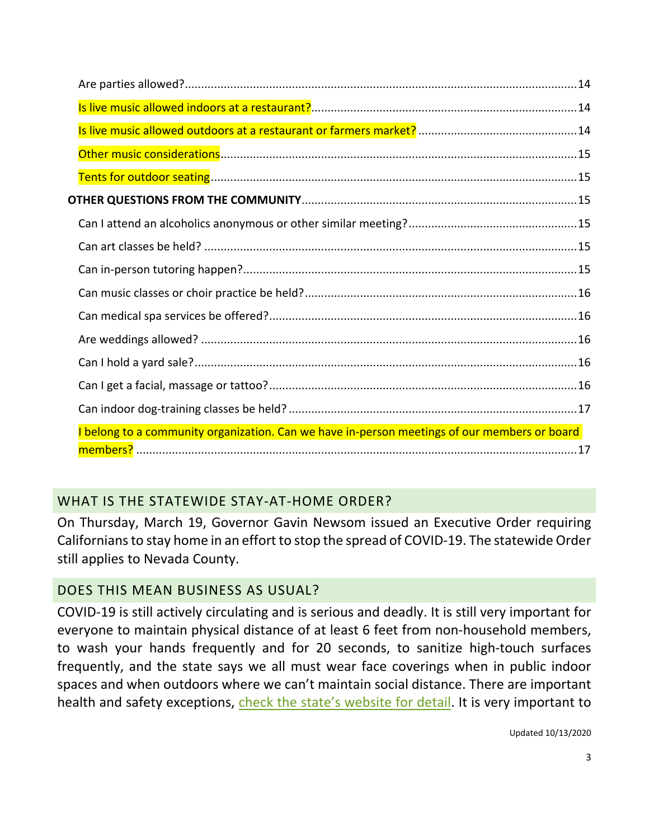| I belong to a community organization. Can we have in-person meetings of our members or board |  |
|----------------------------------------------------------------------------------------------|--|
|                                                                                              |  |

# <span id="page-2-0"></span>WHAT IS THE STATEWIDE STAY-AT-HOME ORDER?

On Thursday, March 19, Governor Gavin Newsom issued an Executive Order requiring Californians to stay home in an effort to stop the spread of COVID-19. The statewide Order still applies to Nevada County.

## <span id="page-2-1"></span>DOES THIS MEAN BUSINESS AS USUAL?

COVID-19 is still actively circulating and is serious and deadly. It is still very important for everyone to maintain physical distance of at least 6 feet from non-household members, to wash your hands frequently and for 20 seconds, to sanitize high-touch surfaces frequently, and the state says we all must wear face coverings when in public indoor spaces and when outdoors where we can't maintain social distance. There are important health and safety exceptions, [check the state's website for detail.](https://www.cdph.ca.gov/Programs/CID/DCDC/CDPH%20Document%20Library/COVID-19/Guidance-for-Face-Coverings_06-18-2020.pdf) It is very important to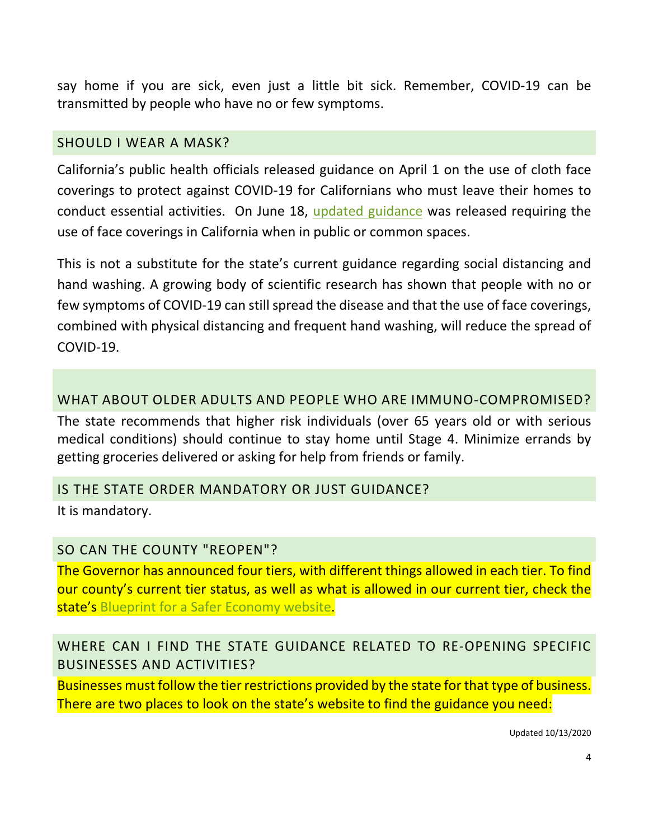say home if you are sick, even just a little bit sick. Remember, COVID-19 can be transmitted by people who have no or few symptoms.

#### <span id="page-3-0"></span>[SHOULD](https://www.placer.ca.gov/Faq.aspx?TID=211) I WEAR A MASK?

California's public health officials released guidance on April 1 on the use of cloth face coverings to protect against COVID-19 for Californians who must leave their homes to conduct essential activities. On June 18, [updated guidance](https://www.cdph.ca.gov/Programs/CID/DCDC/CDPH%20Document%20Library/COVID-19/Guidance-for-Face-Coverings_06-18-2020.pdf) was released requiring the use of face coverings in California when in public or common spaces.

This is not a substitute for the state's current guidance regarding social distancing and hand washing. A growing body of scientific research has shown that people with no or few symptoms of COVID-19 can still spread the disease and that the use of face coverings, combined with physical distancing and frequent hand washing, will reduce the spread of COVID-19.

#### <span id="page-3-1"></span>WHAT ABOUT OLDER ADULTS AND PEOPLE WHO ARE IMMUNO-COMPROMISED?

The state recommends that higher risk individuals (over 65 years old or with serious medical conditions) should continue to stay home until Stage 4. Minimize errands by getting groceries delivered or asking for help from friends or family.

#### <span id="page-3-2"></span>IS THE STATE ORDER [MANDATORY](https://www.placer.ca.gov/Faq.aspx?TID=211) OR JUST GUIDANCE?

It is mandatory.

#### <span id="page-3-3"></span>SO CAN THE COUNTY ["REOPEN"?](https://www.placer.ca.gov/Faq.aspx?TID=211)

The Governor has announced four tiers, with different things allowed in each tier. To find our county's current tier status, as well as what is allowed in our current tier, check the state's [Blueprint for a Safer Economy website.](https://covid19.ca.gov/safer-economy/)

## <span id="page-3-4"></span>WHERE CAN I FIND THE STATE GUIDANCE RELATED TO RE-OPENING SPECIFIC BUSINESSES AND ACTIVITIES?

Businesses must follow the tier restrictions provided by the state for that type of business. There are two places to look on the state's website to find the guidance you need: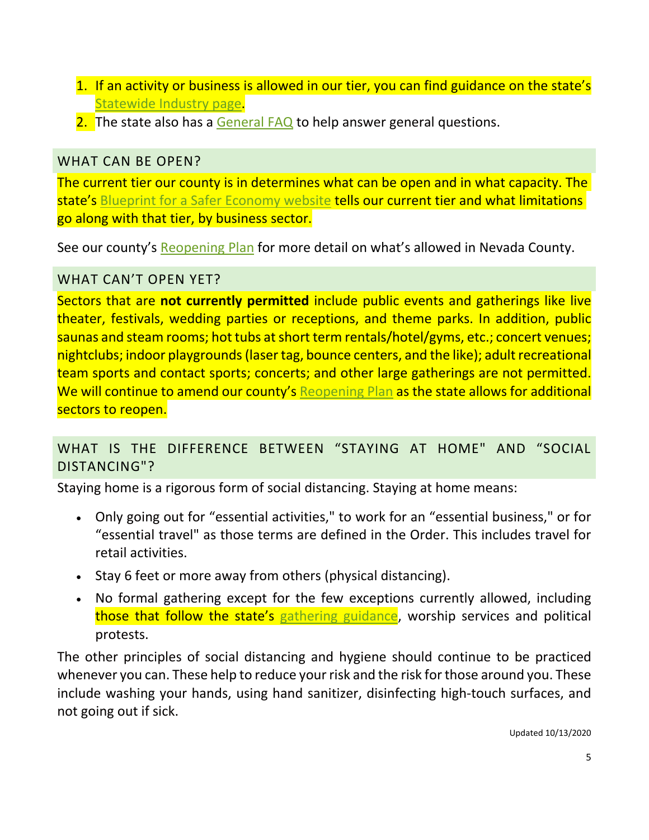- 1. If an activity or business is allowed in our tier, you can find guidance on the state's [Statewide Industry page.](https://covid19.ca.gov/industry-guidance/#top)
- 2. The state also has a [General FAQ](https://covid19.ca.gov/stay-home-except-for-essential-needs/#top) to help answer general questions.

## <span id="page-4-0"></span>WHAT CAN BE OPEN?

The current tier our county is in determines what can be open and in what capacity. The state's [Blueprint for a Safer Economy website](https://covid19.ca.gov/safer-economy/) tells our current tier and what limitations go along with that tier, by business sector.

See our county's [Reopening Plan](https://www.mynevadacounty.com/DocumentCenter/View/34519/Reopen-Nevada-County-Plan) for more detail on what's allowed in Nevada County.

## <span id="page-4-1"></span>WHAT CAN'T OPEN YET?

Sectors that are **not currently permitted** include public events and gatherings like live theater, festivals, wedding parties or receptions, and theme parks. In addition, public saunas and steam rooms; hot tubs at short term rentals/hotel/gyms, etc.; concert venues; nightclubs; indoor playgrounds (laser tag, bounce centers, and the like); adult recreational team sports and contact sports; concerts; and other large gatherings are not permitted. We will continue to amend our county's [Reopening Plan](https://www.mynevadacounty.com/DocumentCenter/View/34519/Reopen-Nevada-County-Plan) as the state allows for additional sectors to reopen.

## <span id="page-4-2"></span>WHAT IS THE [DIFFERENCE](https://www.placer.ca.gov/Faq.aspx?TID=211) BETWEEN "STAYING AT HOME" AND "SOCIAL [DISTANCING"?](https://www.placer.ca.gov/Faq.aspx?TID=211)

Staying home is a rigorous form of social distancing. Staying at home means:

- Only going out for "essential activities," to work for an "essential business," or for "essential travel" as those terms are defined in the Order. This includes travel for retail activities.
- Stay 6 feet or more away from others (physical distancing).
- No formal gathering except for the few exceptions currently allowed, including those that follow the state's [gathering guidance,](https://www.cdph.ca.gov/Programs/CID/DCDC/Pages/COVID-19/CDPH-Guidance-for-the-Prevention-of-COVID-19-Transmission-for-Gatherings-10-09.aspx) worship services and political protests.

The other principles of social distancing and hygiene should continue to be practiced whenever you can. These help to reduce your risk and the risk for those around you. These include washing your hands, using hand sanitizer, disinfecting high-touch surfaces, and not going out if sick.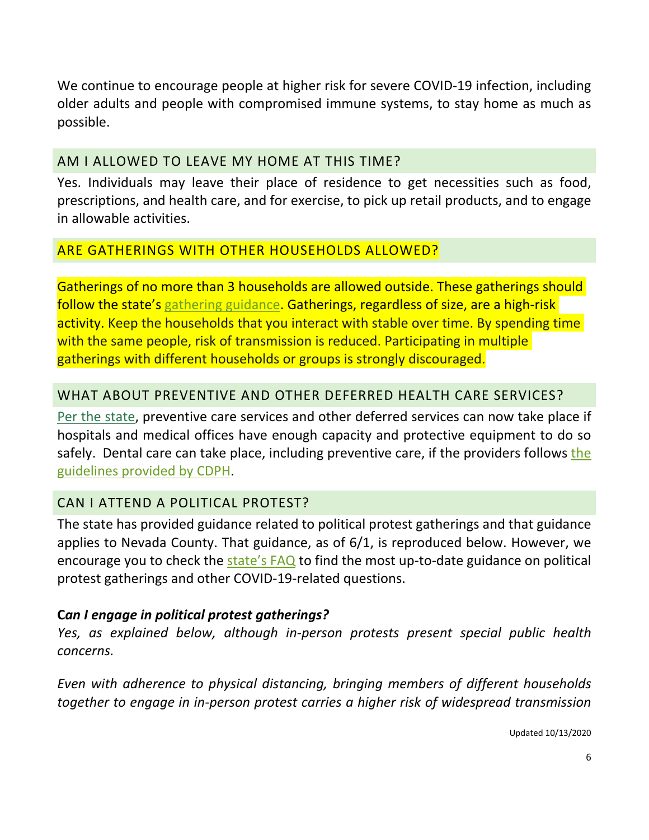We continue to encourage people at higher risk for severe COVID-19 infection, including older adults and people with compromised immune systems, to stay home as much as possible.

## <span id="page-5-0"></span>AM I [ALLOWED](https://www.placer.ca.gov/Faq.aspx?TID=211) TO LEAVE MY HOME AT THIS TIME?

Yes. Individuals may leave their place of residence to get necessities such as food, prescriptions, and health care, and for exercise, to pick up retail products, and to engage in allowable activities.

## <span id="page-5-1"></span>ARE GATHERINGS WITH OTHER HOUSEHOLDS ALLOWED?

Gatherings of no more than 3 households are allowed outside. These gatherings should follow the state's [gathering guidance.](https://www.cdph.ca.gov/Programs/CID/DCDC/Pages/COVID-19/CDPH-Guidance-for-the-Prevention-of-COVID-19-Transmission-for-Gatherings-10-09.aspx) Gatherings, regardless of size, are a high-risk activity. Keep the households that you interact with stable over time. By spending time with the same people, risk of transmission is reduced. Participating in multiple gatherings with different households or groups is strongly discouraged.

## <span id="page-5-2"></span>WHAT ABOUT [PREVENTIVE](https://www.placer.ca.gov/Faq.aspx?TID=211) AND OTHER DEFERRED HEALTH CARE SERVICES?

Per the [state,](https://www.cdph.ca.gov/Programs/CID/DCDC/Pages/COVID-19/ResumingCalifornia%E2%80%99sDeferredandPreventiveHealthCare.aspx) preventive care services and other deferred services can now take place if hospitals and medical offices have enough capacity and protective equipment to do so safely. Dental care can take place, including preventive care, if [the](https://www.cdph.ca.gov/Programs/CID/DCDC/Pages/Guidance-for-Resuming-Deferred-and-Preventive-Dental-Care--.aspx) providers follows the [guidelines provided by CDPH.](https://www.cdph.ca.gov/Programs/CID/DCDC/Pages/Guidance-for-Resuming-Deferred-and-Preventive-Dental-Care--.aspx)

## <span id="page-5-3"></span>CAN I ATTEND A POLITICAL PROTEST?

The state has provided guidance related to political protest gatherings and that guidance applies to Nevada County. That guidance, as of 6/1, is reproduced below. However, we encourage you to check the [state's FAQ](https://covid19.ca.gov/stay-home-except-for-essential-needs/#top) to find the most up-to-date guidance on political protest gatherings and other COVID-19-related questions.

#### **C***an I engage in political protest gatherings?*

*Yes, as explained below, although in-person protests present special public health concerns.*

*Even with adherence to physical distancing, bringing members of different households together to engage in in-person protest carries a higher risk of widespread transmission*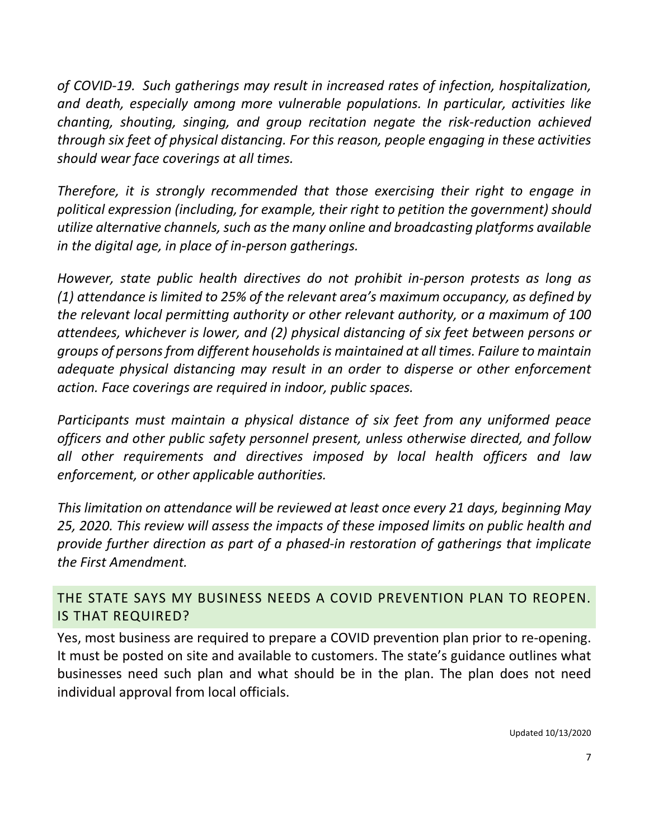*of COVID-19. Such gatherings may result in increased rates of infection, hospitalization, and death, especially among more vulnerable populations. In particular, activities like chanting, shouting, singing, and group recitation negate the risk-reduction achieved through six feet of physical distancing. For this reason, people engaging in these activities should wear face coverings at all times.*

*Therefore, it is strongly recommended that those exercising their right to engage in political expression (including, for example, their right to petition the government) should utilize alternative channels, such as the many online and broadcasting platforms available in the digital age, in place of in-person gatherings.*

*However, state public health directives do not prohibit in-person protests as long as (1) attendance is limited to 25% of the relevant area's maximum occupancy, as defined by the relevant local permitting authority or other relevant authority, or a maximum of 100 attendees, whichever is lower, and (2) physical distancing of six feet between persons or groups of persons from different households is maintained at all times. Failure to maintain adequate physical distancing may result in an order to disperse or other enforcement action. Face coverings are required in indoor, public spaces.*

*Participants must maintain a physical distance of six feet from any uniformed peace officers and other public safety personnel present, unless otherwise directed, and follow all other requirements and directives imposed by local health officers and law enforcement, or other applicable authorities.*

*This limitation on attendance will be reviewed at least once every 21 days, beginning May 25, 2020. This review will assess the impacts of these imposed limits on public health and provide further direction as part of a phased-in restoration of gatherings that implicate the First Amendment.*

<span id="page-6-0"></span>THE STATE SAYS MY BUSINESS NEEDS A COVID PREVENTION PLAN TO REOPEN. IS THAT REQUIRED?

Yes, most business are required to prepare a COVID prevention plan prior to re-opening. It must be posted on site and available to customers. The state's guidance outlines what businesses need such plan and what should be in the plan. The plan does not need individual approval from local officials.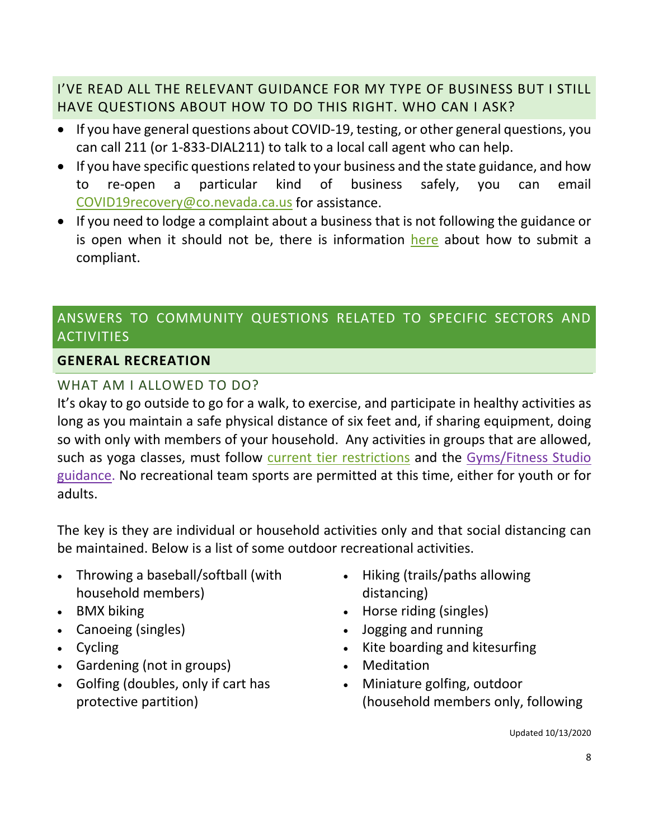# <span id="page-7-0"></span>I'VE READ ALL THE RELEVANT GUIDANCE FOR MY TYPE OF BUSINESS BUT I STILL HAVE QUESTIONS ABOUT HOW TO DO THIS RIGHT. WHO CAN I ASK?

- If you have general questions about COVID-19, testing, or other general questions, you can call 211 (or 1-833-DIAL211) to talk to a local call agent who can help.
- If you have specific questions related to your business and the state guidance, and how to re-open a particular kind of business safely, you can email [COVID19recovery@co.nevada.ca.us](mailto:COVID19recovery@co.nevada.ca.us) for assistance.
- If you need to lodge a complaint about a business that is not following the guidance or is open when it should not be, there is information [here](https://www.mynevadacounty.com/faq.aspx?qid=822) about how to submit a compliant.

# <span id="page-7-1"></span>ANSWERS TO COMMUNITY QUESTIONS RELATED TO SPECIFIC SECTORS AND **ACTIVITIES**

#### <span id="page-7-2"></span>**GENERAL RECREATION**

## <span id="page-7-3"></span>WHAT AM I ALLOWED TO DO?

It's okay to go outside to go for a walk, to exercise, and participate in healthy activities as long as you maintain a safe physical distance of six feet and, if sharing equipment, doing so with only with members of your household. Any activities in groups that are allowed, such as yoga classes, must follow [current tier restrictions](https://covid19.ca.gov/safer-economy/) and the [Gyms/Fitness Studio](https://covid19.ca.gov/pdf/guidance-fitness.pdf)  [guidance.](https://covid19.ca.gov/pdf/guidance-fitness.pdf) No recreational team sports are permitted at this time, either for youth or for adults.

The key is they are individual or household activities only and that social distancing can be maintained. Below is a list of some outdoor recreational activities.

- Throwing a baseball/softball (with household members)
- BMX biking
- Canoeing (singles)
- Cycling
- Gardening (not in groups)
- Golfing (doubles, only if cart has protective partition)
- Hiking (trails/paths allowing distancing)
- Horse riding (singles)
- Jogging and running
- Kite boarding and kitesurfing
- Meditation
- Miniature golfing, outdoor (household members only, following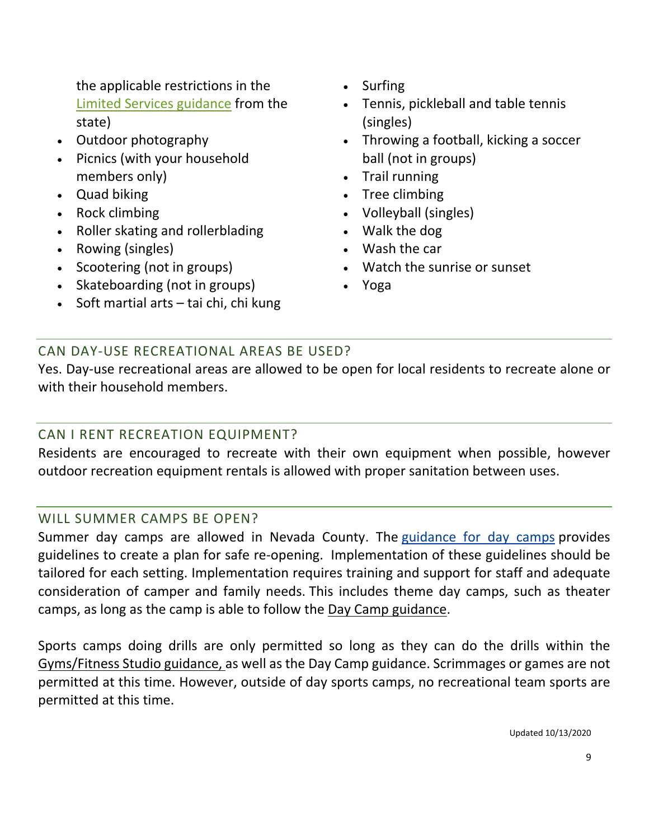the applicable restrictions in the [Limited Services guidance](https://covid19.ca.gov/pdf/guidance-limited-services.pdf) from the state)

- Outdoor photography
- Picnics (with your household members only)
- Quad biking
- Rock climbing
- Roller skating and rollerblading
- Rowing (singles)
- Scootering (not in groups)
- Skateboarding (not in groups)
- Soft martial arts tai chi, chi kung
- Surfing
- Tennis, pickleball and table tennis (singles)
- Throwing a football, kicking a soccer ball (not in groups)
- Trail running
- Tree climbing
- Volleyball (singles)
- Walk the dog
- Wash the car
- Watch the sunrise or sunset
- Yoga

## <span id="page-8-0"></span>CAN DAY-USE RECREATIONAL AREAS BE USED?

Yes. Day-use recreational areas are allowed to be open for local residents to recreate alone or with their household members.

#### <span id="page-8-1"></span>CAN I RENT RECREATION EQUIPMENT?

Residents are encouraged to recreate with their own equipment when possible, however outdoor recreation equipment rentals is allowed with proper sanitation between uses.

#### <span id="page-8-2"></span>WILL SUMMER CAMPS BE OPEN?

Summer day camps are allowed in Nevada County. The [guidance for day camps](http://covid19.ca.gov/pdf/guidance-daycamps.pdf) provides guidelines to create a plan for safe re-opening. Implementation of these guidelines should be tailored for each setting. Implementation requires training and support for staff and adequate consideration of camper and family needs. This includes theme day camps, such as theater camps, as long as the camp is able to follow the [Day Camp guidance.](https://covid19.ca.gov/pdf/guidance-daycamps.pdf)

Sports camps doing drills are only permitted so long as they can do the drills within the [Gyms/Fitness Studio guidance,](https://covid19.ca.gov/pdf/guidance-fitness.pdf) as well as the Day Camp guidance. Scrimmages or games are not permitted at this time. However, outside of day sports camps, no recreational team sports are permitted at this time.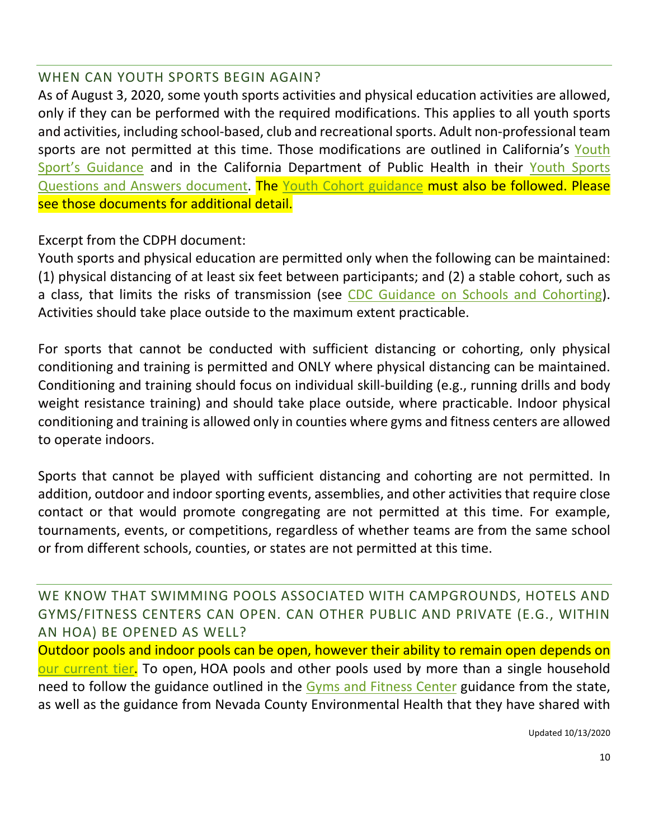#### <span id="page-9-0"></span>WHEN CAN YOUTH SPORTS BEGIN AGAIN?

As of August 3, 2020, some youth sports activities and physical education activities are allowed, only if they can be performed with the required modifications. This applies to all youth sports and activities, including school-based, club and recreational sports. Adult non-professional team sports are not permitted at this time. Those modifications are outlined in California's Youth [Sport's Guidance](https://files.covid19.ca.gov/pdf/guidance-youth-sports--en.pdf) and in the California Department of Public Health in their Youth Sports [Questions and Answers document.](https://www.cdph.ca.gov/Programs/CID/DCDC/Pages/COVID-19/Youth-Sports-FAQ.aspx) The [Youth Cohort guidance](https://www.cdph.ca.gov/Programs/CID/DCDC/Pages/COVID-19/small-groups-child-youth.aspx) must also be followed. Please see those documents for additional detail.

Excerpt from the CDPH document:

Youth sports and physical education are permitted only when the following can be maintained: (1) physical distancing of at least six feet between participants; and (2) a stable cohort, such as a class, that limits the risks of transmission (see [CDC Guidance on Schools and Cohorting\)](https://www.cdc.gov/coronavirus/2019-ncov/community/schools-childcare/prepare-safe-return.html). Activities should take place outside to the maximum extent practicable.

For sports that cannot be conducted with sufficient distancing or cohorting, only physical conditioning and training is permitted and ONLY where physical distancing can be maintained. Conditioning and training should focus on individual skill-building (e.g., running drills and body weight resistance training) and should take place outside, where practicable. Indoor physical conditioning and training is allowed only in counties where gyms and fitness centers are allowed to operate indoors.

Sports that cannot be played with sufficient distancing and cohorting are not permitted. In addition, outdoor and indoor sporting events, assemblies, and other activities that require close contact or that would promote congregating are not permitted at this time. For example, tournaments, events, or competitions, regardless of whether teams are from the same school or from different schools, counties, or states are not permitted at this time.

<span id="page-9-1"></span>WE KNOW THAT SWIMMING POOLS ASSOCIATED WITH CAMPGROUNDS, HOTELS AND GYMS/FITNESS CENTERS CAN OPEN. CAN OTHER PUBLIC AND PRIVATE (E.G., WITHIN AN HOA) BE OPENED AS WELL?

Outdoor pools and indoor pools can be open, however their ability to remain open depends on [our current tier.](https://covid19.ca.gov/safer-economy/) To open, HOA pools and other pools used by more than a single household need to follow the guidance outlined in the [Gyms and Fitness Center](http://covid19.ca.gov/pdf/guidance-fitness.pdf) guidance from the state, as well as the guidance from Nevada County Environmental Health that they have shared with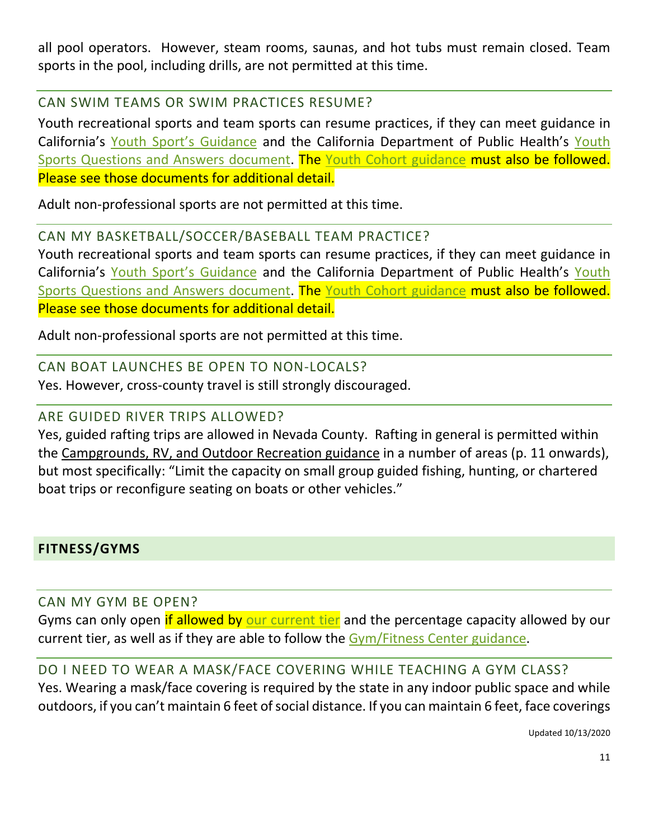all pool operators. However, steam rooms, saunas, and hot tubs must remain closed. Team sports in the pool, including drills, are not permitted at this time.

<span id="page-10-0"></span>CAN SWIM TEAMS OR SWIM PRACTICES RESUME?

Youth recreational sports and team sports can resume practices, if they can meet guidance in California's [Youth Sport's Guidance](https://files.covid19.ca.gov/pdf/guidance-youth-sports--en.pdf) and the California Department of Public Health's [Youth](https://www.cdph.ca.gov/Programs/CID/DCDC/Pages/COVID-19/Youth-Sports-FAQ.aspx)  Sports [Questions and Answers document.](https://www.cdph.ca.gov/Programs/CID/DCDC/Pages/COVID-19/Youth-Sports-FAQ.aspx) The [Youth Cohort guidance](https://www.cdph.ca.gov/Programs/CID/DCDC/Pages/COVID-19/small-groups-child-youth.aspx) must also be followed. Please see those documents for additional detail.

Adult non-professional sports are not permitted at this time.

## <span id="page-10-1"></span>CAN MY BASKETBALL/SOCCER/BASEBALL TEAM PRACTICE?

Youth recreational sports and team sports can resume practices, if they can meet guidance in California's [Youth Sport's Guidance](https://files.covid19.ca.gov/pdf/guidance-youth-sports--en.pdf) and the California Department of Public Health's [Youth](https://www.cdph.ca.gov/Programs/CID/DCDC/Pages/COVID-19/Youth-Sports-FAQ.aspx)  [Sports Questions and Answers document.](https://www.cdph.ca.gov/Programs/CID/DCDC/Pages/COVID-19/Youth-Sports-FAQ.aspx) The [Youth Cohort guidance](https://www.cdph.ca.gov/Programs/CID/DCDC/Pages/COVID-19/small-groups-child-youth.aspx) must also be followed. Please see those documents for additional detail.

Adult non-professional sports are not permitted at this time.

## <span id="page-10-2"></span>CAN BOAT LAUNCHES BE OPEN TO NON-LOCALS?

Yes. However, cross-county travel is still strongly discouraged.

#### <span id="page-10-3"></span>ARE GUIDED RIVER TRIPS ALLOWED?

Yes, guided rafting trips are allowed in Nevada County. Rafting in general is permitted within the [Campgrounds, RV, and Outdoor Recreation guidance](https://urldefense.proofpoint.com/v2/url?u=https-3A__covid19.ca.gov_pdf_guidance-2Dcampgrounds.pdf&d=DwMFAw&c=Lr0a7ed3egkbwePCNW4ROg&r=jv_AYUqtX1kLXT0rbdVp-Urg1nX8GlwKgRZtUiZ65T8&m=eDk-ROuRi17nb0VoSLugScHH3A3gGQrIusTHNWfT8TE&s=mx4NAvTQj0dBWGHXPOgNYc5LA48bPc5XsC1yLM8DYMo&e=) in a number of areas (p. 11 onwards), but most specifically: "Limit the capacity on small group guided fishing, hunting, or chartered boat trips or reconfigure seating on boats or other vehicles."

## <span id="page-10-4"></span>**FITNESS/GYMS**

<span id="page-10-5"></span>CAN MY GYM BE OPEN?

Gyms can only open if allowed by [our current tier](https://covid19.ca.gov/safer-economy/) and the percentage capacity allowed by our current tier, as well as if they are able to follow the [Gym/Fitness Center guidance.](http://covid19.ca.gov/pdf/guidance-fitness.pdf)

## <span id="page-10-6"></span>DO I NEED TO WEAR A MASK/FACE COVERING WHILE TEACHING A GYM CLASS?

Yes. Wearing a mask/face covering is required by the state in any indoor public space and while outdoors, if you can't maintain 6 feet of social distance. If you can maintain 6 feet, face coverings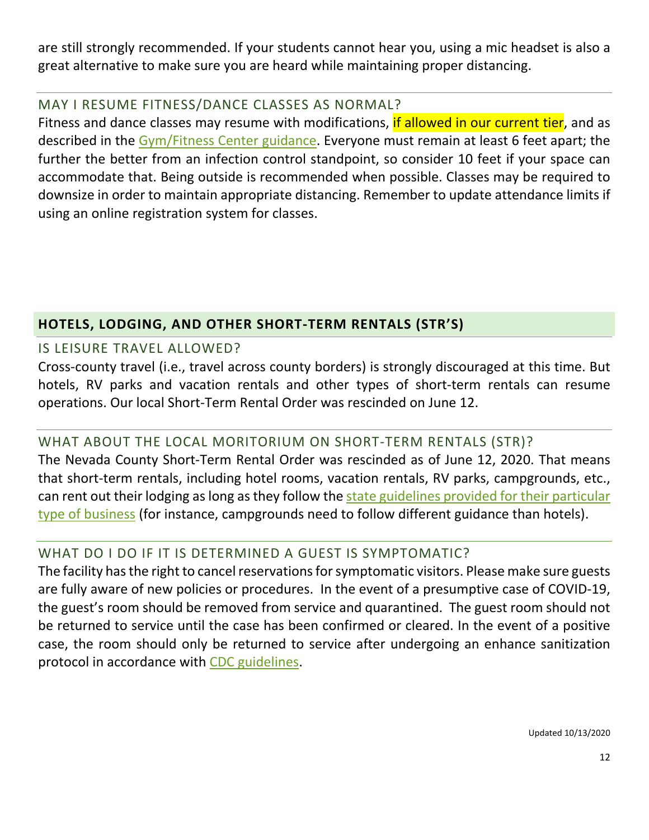are still strongly recommended. If your students cannot hear you, using a mic headset is also a great alternative to make sure you are heard while maintaining proper distancing.

#### <span id="page-11-0"></span>MAY I RESUME FITNESS/DANCE CLASSES AS NORMAL?

Fitness and dance classes may resume with modifications, if allowed in our current tier, and as described in the [Gym/Fitness Center guidance.](http://covid19.ca.gov/pdf/guidance-fitness.pdf) Everyone must remain at least 6 feet apart; the further the better from an infection control standpoint, so consider 10 feet if your space can accommodate that. Being outside is recommended when possible. Classes may be required to downsize in order to maintain appropriate distancing. Remember to update attendance limits if using an online registration system for classes.

## <span id="page-11-1"></span>**HOTELS, LODGING, AND OTHER SHORT-TERM RENTALS (STR'S)**

## <span id="page-11-2"></span>IS LEISURE TRAVEL ALLOWED?

Cross-county travel (i.e., travel across county borders) is strongly discouraged at this time. But hotels, RV parks and vacation rentals and other types of short-term rentals can resume operations. Our local Short-Term Rental Order was rescinded on June 12.

# <span id="page-11-3"></span>WHAT ABOUT THE LOCAL [MORITORIUM](https://www.placer.ca.gov/Faq.aspx?TID=211) ON SHORT-TERM RENTALS (STR)?

The Nevada County Short-Term Rental Order was rescinded as of June 12, 2020. That means that short-term rentals, including hotel rooms, vacation rentals, RV parks, campgrounds, etc., can rent out their lodging as long as they follow the [state guidelines provided for their particular](https://covid19.ca.gov/industry-guidance/#top)  type [of business](https://covid19.ca.gov/industry-guidance/#top) (for instance, campgrounds need to follow different guidance than hotels).

# <span id="page-11-4"></span>WHAT DO I DO IF IT IS DETERMINED A GUEST IS SYMPTOMATIC?

The facility has the right to cancel reservations for symptomatic visitors. Please make sure guests are fully aware of new policies or procedures. In the event of a presumptive case of COVID-19, the guest's room should be removed from service and quarantined. The guest room should not be returned to service until the case has been confirmed or cleared. In the event of a positive case, the room should only be returned to service after undergoing an enhance sanitization protocol in accordance with [CDC guidelines.](https://www.cdc.gov/coronavirus/2019-ncov/community/disinfecting-building-facility.html)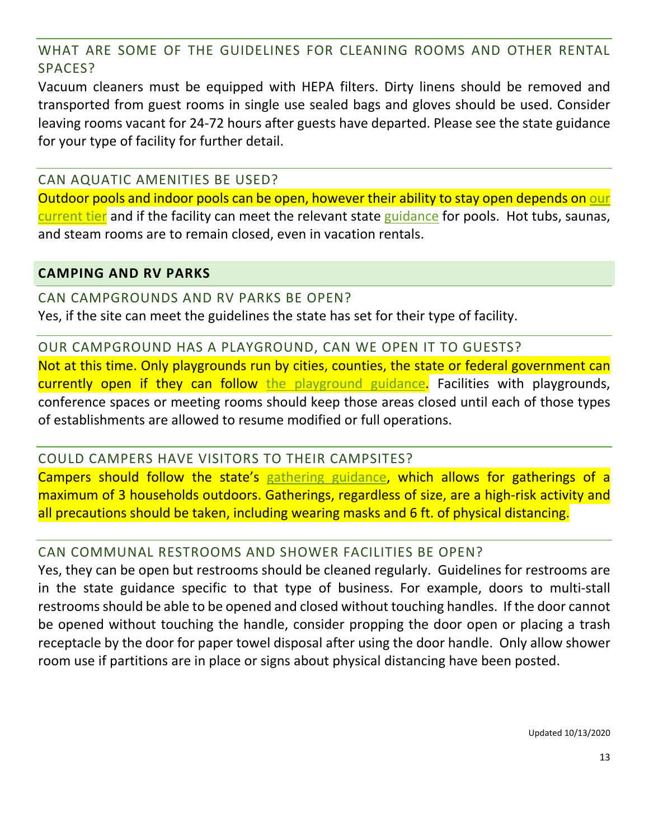## <span id="page-12-0"></span>WHAT ARE SOME OF THE GUIDELINES FOR CLEANING ROOMS AND OTHER RENTAL SPACES?

Vacuum cleaners must be equipped with HEPA filters. Dirty linens should be removed and transported from guest rooms in single use sealed bags and gloves should be used. Consider leaving rooms vacant for 24-72 hours after guests have departed. Please see the state guidance for your type of facility for further detail.

#### <span id="page-12-1"></span>CAN AQUATIC AMENITIES BE USED?

Outdoor pools and indoor pools can be open, however their ability to stay open depends on [our](https://covid19.ca.gov/safer-economy/)  [current tier](https://covid19.ca.gov/safer-economy/) and if the facility can meet the relevant state [guidance](http://covid19.ca.gov/pdf/guidance-fitness.pdf) for pools. Hot tubs, saunas, and steam rooms are to remain closed, even in vacation rentals.

#### <span id="page-12-2"></span>**CAMPING AND RV PARKS**

<span id="page-12-3"></span>CAN CAMPGROUNDS AND RV PARKS BE OPEN? Yes, if the site can meet the guidelines the state has set for their type of facility.

<span id="page-12-4"></span>OUR CAMPGROUND HAS A PLAYGROUND, CAN WE OPEN IT TO GUESTS? Not at this time. Only playgrounds run by cities, counties, the state or federal government can currently open if they can follow [the playground guidance.](https://www.cdph.ca.gov/Programs/CID/DCDC/Pages/COVID-19/Outdoor%20Playgrounds%20and%20other%20Outdoor%20Recreational%20Facilities.aspx) Facilities with playgrounds, conference spaces or meeting rooms should keep those areas closed until each of those types of establishments are allowed to resume modified or full operations.

<span id="page-12-5"></span>COULD CAMPERS HAVE VISITORS TO THEIR CAMPSITES? Campers should follow the state's [gathering guidance,](https://www.cdph.ca.gov/Programs/CID/DCDC/Pages/COVID-19/CDPH-Guidance-for-the-Prevention-of-COVID-19-Transmission-for-Gatherings-10-09.aspx) which allows for gatherings of a maximum of 3 households outdoors. Gatherings, regardless of size, are a high-risk activity and

all precautions should be taken, including wearing masks and 6 ft. of physical distancing.

## <span id="page-12-6"></span>CAN COMMUNAL RESTROOMS AND SHOWER FACILITIES BE OPEN?

Yes, they can be open but restrooms should be cleaned regularly. Guidelines for restrooms are in the state guidance specific to that type of business. For example, doors to multi-stall restrooms should be able to be opened and closed without touching handles. If the door cannot be opened without touching the handle, consider propping the door open or placing a trash receptacle by the door for paper towel disposal after using the door handle. Only allow shower room use if partitions are in place or signs about physical distancing have been posted.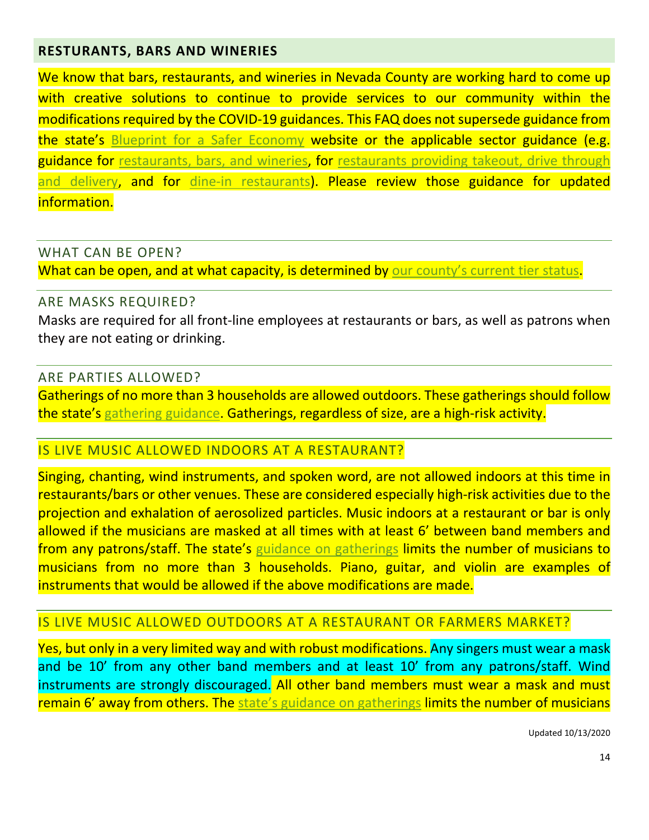#### <span id="page-13-0"></span>**RESTURANTS, BARS AND WINERIES**

We know that bars, restaurants, and wineries in Nevada County are working hard to come up with creative solutions to continue to provide services to our community within the modifications required by the COVID-19 guidances. This FAQ does not supersede guidance from the state's [Blueprint for a Safer Economy](https://covid19.ca.gov/safer-economy/) website or the applicable sector guidance (e.g. guidance for restaurants, bars, and wineries, for restaurants providing takeout, drive through [and delivery,](https://files.covid19.ca.gov/pdf/guidance-take-out-restaurants--en.pdf) and for [dine-in restaurants\)](https://files.covid19.ca.gov/pdf/guidance-dine-in-restaurants.pdf). Please review those guidance for updated information.

#### <span id="page-13-1"></span>WHAT CAN BE OPEN?

What can be open, and at what capacity, is determined by [our county's current tier status.](https://covid19.ca.gov/safer-economy/)

#### <span id="page-13-2"></span>ARE MASKS REQUIRED?

Masks are required for all front-line employees at restaurants or bars, as well as patrons when they are not eating or drinking.

#### <span id="page-13-3"></span>ARE PARTIES ALLOWED?

Gatherings of no more than 3 households are allowed outdoors. These gatherings should follow the state's [gathering guidance.](https://www.cdph.ca.gov/Programs/CID/DCDC/Pages/COVID-19/CDPH-Guidance-for-the-Prevention-of-COVID-19-Transmission-for-Gatherings-10-09.aspx) Gatherings, regardless of size, are a high-risk activity.

#### <span id="page-13-4"></span>IS LIVE MUSIC ALLOWED INDOORS AT A RESTAURANT?

Singing, chanting, wind instruments, and spoken word, are not allowed indoors at this time in restaurants/bars or other venues. These are considered especially high-risk activities due to the projection and exhalation of aerosolized particles. Music indoors at a restaurant or bar is only allowed if the musicians are masked at all times with at least 6' between band members and from any patrons/staff. The state's [guidance on gatherings](https://www.cdph.ca.gov/Programs/CID/DCDC/Pages/COVID-19/CDPH-Guidance-for-the-Prevention-of-COVID-19-Transmission-for-Gatherings-10-09.aspx) limits the number of musicians to musicians from no more than 3 households. Piano, guitar, and violin are examples of instruments that would be allowed if the above modifications are made.

#### <span id="page-13-5"></span>IS LIVE MUSIC ALLOWED OUTDOORS AT A RESTAURANT OR FARMERS MARKET?

Yes, but only in a very limited way and with robust modifications. Any singers must wear a mask and be 10' from any other band members and at least 10' from any patrons/staff. Wind instruments are strongly discouraged. All other band members must wear a mask and must remain 6' away from others. The [state's guidance on gatherings](https://www.cdph.ca.gov/Programs/CID/DCDC/Pages/COVID-19/CDPH-Guidance-for-the-Prevention-of-COVID-19-Transmission-for-Gatherings-10-09.aspx) limits the number of musicians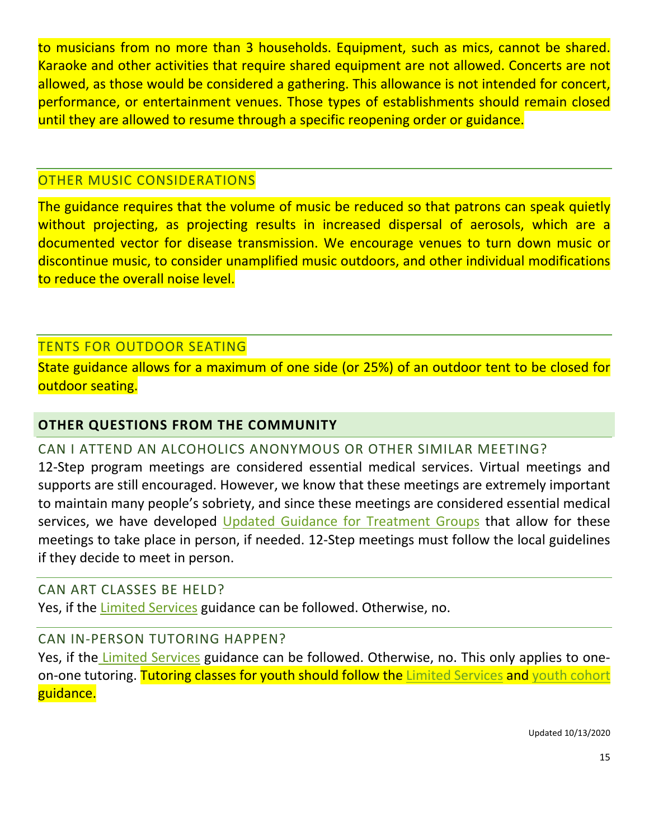to musicians from no more than 3 households. Equipment, such as mics, cannot be shared. Karaoke and other activities that require shared equipment are not allowed. Concerts are not allowed, as those would be considered a gathering. This allowance is not intended for concert, performance, or entertainment venues. Those types of establishments should remain closed until they are allowed to resume through a specific reopening order or guidance.

#### <span id="page-14-0"></span>OTHER MUSIC CONSIDERATIONS

The guidance requires that the volume of music be reduced so that patrons can speak quietly without projecting, as projecting results in increased dispersal of aerosols, which are a documented vector for disease transmission. We encourage venues to turn down music or discontinue music, to consider unamplified music outdoors, and other individual modifications to reduce the overall noise level.

## <span id="page-14-1"></span>TENTS FOR OUTDOOR SEATING

State guidance allows for a maximum of one side (or 25%) of an outdoor tent to be closed for outdoor seating.

## <span id="page-14-2"></span>**OTHER QUESTIONS FROM THE COMMUNITY**

#### <span id="page-14-3"></span>CAN I ATTEND AN ALCOHOLICS ANONYMOUS OR OTHER SIMILAR MEETING?

12-Step program meetings are considered essential medical services. Virtual meetings and supports are still encouraged. However, we know that these meetings are extremely important to maintain many people's sobriety, and since these meetings are considered essential medical services, we have developed [Updated Guidance for Treatment Groups](https://www.mynevadacounty.com/DocumentCenter/View/34601/Updated-Guidance-on-Treatment-Groups-2020-06-02?bidId=) that allow for these meetings to take place in person, if needed. 12-Step meetings must follow the local guidelines if they decide to meet in person.

#### <span id="page-14-4"></span>CAN ART CLASSES BE HELD?

Yes, if the [Limited Services](https://covid19.ca.gov/pdf/guidance-limited-services.pdf) guidance can be followed. Otherwise, no.

#### <span id="page-14-5"></span>CAN IN-PERSON TUTORING HAPPEN?

Yes, if the [Limited Services](https://covid19.ca.gov/pdf/guidance-limited-services.pdf) guidance can be followed. Otherwise, no. This only applies to one-on-one tutoring. Tutoring classes for youth should follow the [Limited Services](https://covid19.ca.gov/pdf/guidance-limited-services.pdf) and [youth cohort](https://www.cdph.ca.gov/Programs/CID/DCDC/Pages/COVID-19/small-groups-child-youth.aspx) guidance.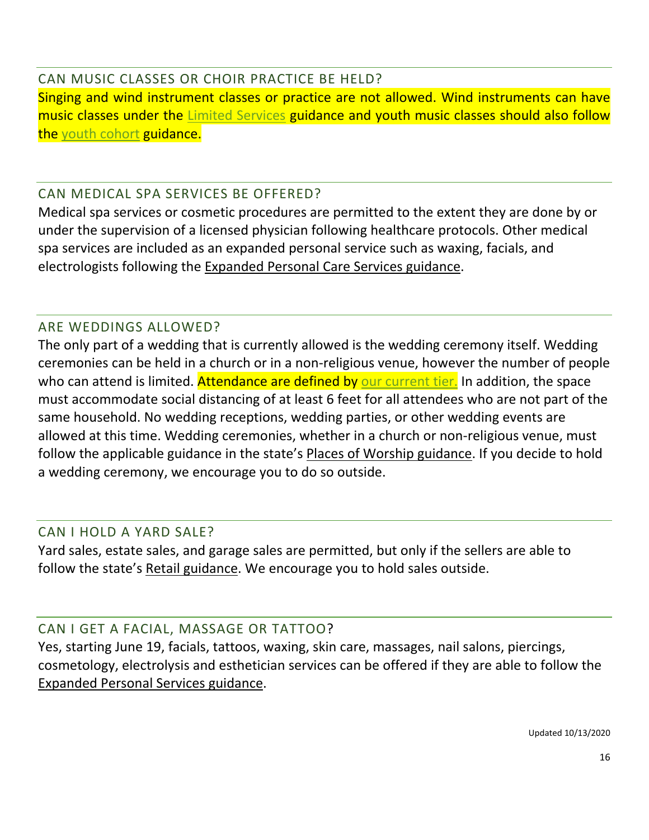<span id="page-15-0"></span>CAN MUSIC CLASSES OR CHOIR PRACTICE BE HELD? Singing and wind instrument classes or practice are not allowed. Wind instruments can have music classes under the [Limited Services](https://covid19.ca.gov/pdf/guidance-limited-services.pdf) guidance and youth music classes should also follow the [youth cohort](https://www.cdph.ca.gov/Programs/CID/DCDC/Pages/COVID-19/small-groups-child-youth.aspx) guidance.

## <span id="page-15-1"></span>CAN MEDICAL SPA SERVICES BE OFFERED?

Medical spa services or cosmetic procedures are permitted to the extent they are done by or under the supervision of a licensed physician following healthcare protocols. Other medical spa services are included as an expanded personal service such as waxing, facials, and electrologists following the [Expanded Personal Care Services guidance.](https://covid19.ca.gov/pdf/expanded-personal-services.pdf)

#### <span id="page-15-2"></span>ARE WEDDINGS ALLOWED?

The only part of a wedding that is currently allowed is the wedding ceremony itself. Wedding ceremonies can be held in a church or in a non-religious venue, however the number of people who can attend is limited. Attendance are defined by [our current tier.](https://covid19.ca.gov/safer-economy/) In addition, the space must accommodate social distancing of at least 6 feet for all attendees who are not part of the same household. No wedding receptions, wedding parties, or other wedding events are allowed at this time. Wedding ceremonies, whether in a church or non-religious venue, must follow the applicable guidance in the state's [Places of Worship guidance.](http://covid19.ca.gov/pdf/guidance-places-of-worship.pdf) If you decide to hold a wedding ceremony, we encourage you to do so outside.

#### <span id="page-15-3"></span>CAN I HOLD A YARD SALE?

Yard sales, estate sales, and garage sales are permitted, but only if the sellers are able to follow the state's [Retail guidance.](https://covid19.ca.gov/pdf/guidance-retail.pdf) We encourage you to hold sales outside.

#### <span id="page-15-4"></span>CAN I GET A FACIAL, MASSAGE OR TATTOO?

Yes, starting June 19, facials, tattoos, waxing, skin care, massages, nail salons, piercings, cosmetology, electrolysis and esthetician services can be offered if they are able to follow the [Expanded Personal Services guidance.](https://covid19.ca.gov/pdf/expanded-personal-services.pdf)